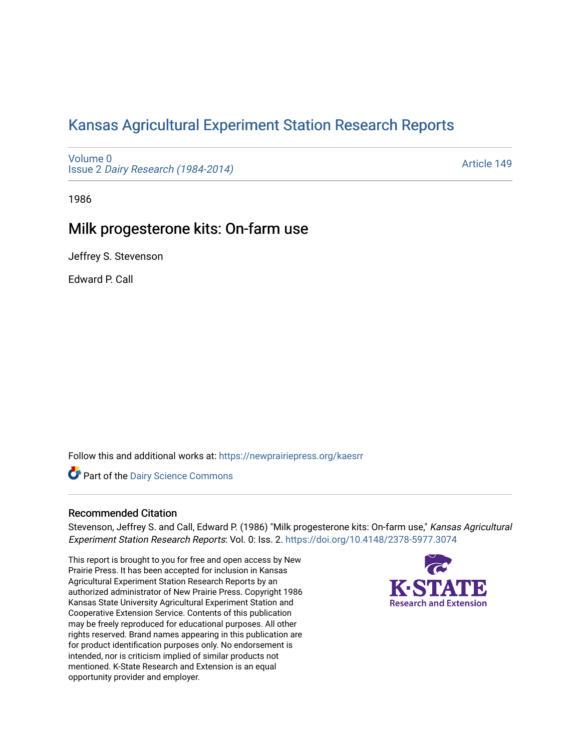# [Kansas Agricultural Experiment Station Research Reports](https://newprairiepress.org/kaesrr)

[Volume 0](https://newprairiepress.org/kaesrr/vol0) Issue 2 [Dairy Research \(1984-2014\)](https://newprairiepress.org/kaesrr/vol0/iss2) 

[Article 149](https://newprairiepress.org/kaesrr/vol0/iss2/149) 

1986

## Milk progesterone kits: On-farm use

Jeffrey S. Stevenson

Edward P. Call

Follow this and additional works at: [https://newprairiepress.org/kaesrr](https://newprairiepress.org/kaesrr?utm_source=newprairiepress.org%2Fkaesrr%2Fvol0%2Fiss2%2F149&utm_medium=PDF&utm_campaign=PDFCoverPages) 

**Part of the Dairy Science Commons** 

### Recommended Citation

Stevenson, Jeffrey S. and Call, Edward P. (1986) "Milk progesterone kits: On-farm use," Kansas Agricultural Experiment Station Research Reports: Vol. 0: Iss. 2. <https://doi.org/10.4148/2378-5977.3074>

This report is brought to you for free and open access by New Prairie Press. It has been accepted for inclusion in Kansas Agricultural Experiment Station Research Reports by an authorized administrator of New Prairie Press. Copyright 1986 Kansas State University Agricultural Experiment Station and Cooperative Extension Service. Contents of this publication may be freely reproduced for educational purposes. All other rights reserved. Brand names appearing in this publication are for product identification purposes only. No endorsement is intended, nor is criticism implied of similar products not mentioned. K-State Research and Extension is an equal opportunity provider and employer.

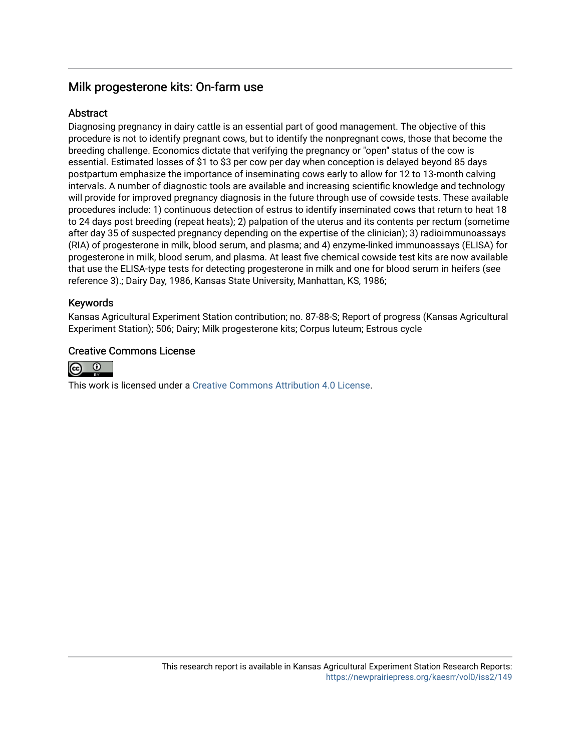## Milk progesterone kits: On-farm use

## **Abstract**

Diagnosing pregnancy in dairy cattle is an essential part of good management. The objective of this procedure is not to identify pregnant cows, but to identify the nonpregnant cows, those that become the breeding challenge. Economics dictate that verifying the pregnancy or "open" status of the cow is essential. Estimated losses of \$1 to \$3 per cow per day when conception is delayed beyond 85 days postpartum emphasize the importance of inseminating cows early to allow for 12 to 13-month calving intervals. A number of diagnostic tools are available and increasing scientific knowledge and technology will provide for improved pregnancy diagnosis in the future through use of cowside tests. These available procedures include: 1) continuous detection of estrus to identify inseminated cows that return to heat 18 to 24 days post breeding (repeat heats); 2) palpation of the uterus and its contents per rectum (sometime after day 35 of suspected pregnancy depending on the expertise of the clinician); 3) radioimmunoassays (RIA) of progesterone in milk, blood serum, and plasma; and 4) enzyme-linked immunoassays (ELISA) for progesterone in milk, blood serum, and plasma. At least five chemical cowside test kits are now available that use the ELISA-type tests for detecting progesterone in milk and one for blood serum in heifers (see reference 3).; Dairy Day, 1986, Kansas State University, Manhattan, KS, 1986;

## Keywords

Kansas Agricultural Experiment Station contribution; no. 87-88-S; Report of progress (Kansas Agricultural Experiment Station); 506; Dairy; Milk progesterone kits; Corpus luteum; Estrous cycle

## Creative Commons License



This work is licensed under a [Creative Commons Attribution 4.0 License](https://creativecommons.org/licenses/by/4.0/).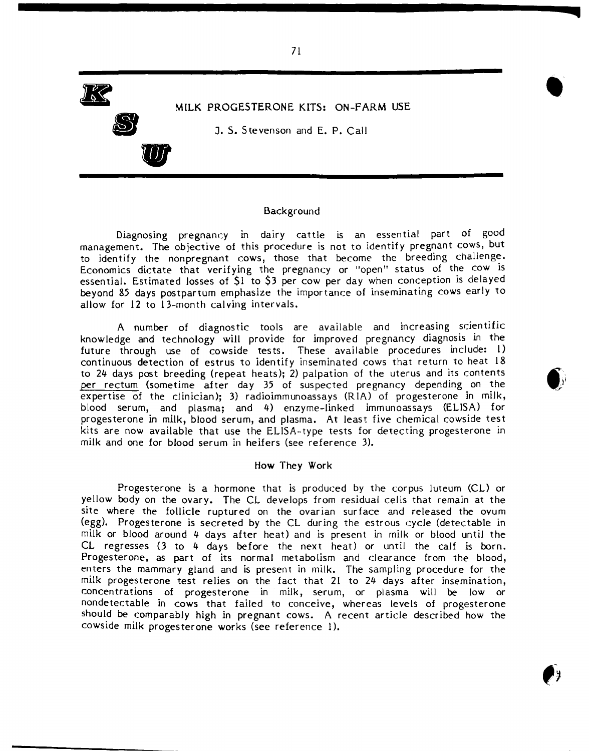

#### Background

Diagnosing pregnancy in dairy cattle is an essential part of good management. The objective of this procedure is not to identify pregnant cows, but to identify the nonpregnant cows, those that become the breeding challenge. Economics dictate that verifying the pregnancy or "open" status of the cow is essential. Estimated losses of \$1 to \$3 per cow per day when conception is delayed beyond 85 days postpartum emphasize the importance of inseminating cows early to allow for 12 to 13-month calving intervals.

A number of diagnostic tools are available and increasing scientific knowledge and technology will provide for improved pregnancy diagnosis in the future through use of cowside tests. These available procedures include: 1) continuous detection of estrus to identify inseminated cows that return to heat 18 to 24 days post breeding (repeat heats); 2) palpation of the uterus and its contents per rectum (sometime after day 35 of suspected pregnancy depending on the expertise of the clinician); 3) radioimmunoassays (RIA) of progesterone in milk, blood serum, and plasma; and 4) enzyme-linked immunoassays (ELISA) for progesterone in milk, blood serum, and plasma. At least five chemical cowside test kits are now available that use the ELISA-type tests for detecting progesterone in milk and one for blood serum in heifers (see reference 3).

### How They Work

Progesterone *is* a hormone that is produced by the corpus luteum (CL) or yellow body on the ovary. The CL develops from residual cells that remain at the site where the follicle ruptured on the ovarian surface and released the ovum (egg). Progesterone is secreted by the CL during the estrous cycle (detectable in milk or blood around 4 days after heat) and is present in milk or blood until the CL regresses (3 to 4 days before the next heat) or until the calf is born. Progesterone, as part of its normal metabolism and clearance from the blood, enters the mammary gland and is present in milk. The sampling procedure for the milk progesterone test relies on the fact that 21 to 24 days after insemination, concentrations of progesterone in milk, serum, or plasma will be low or nondetectable in cows that failed to conceive, whereas levels of progesterone should be comparably high in pregnant cows. A recent article described how the cowside milk progesterone works (see reference I).



**•** 

**--------------------------c::u**